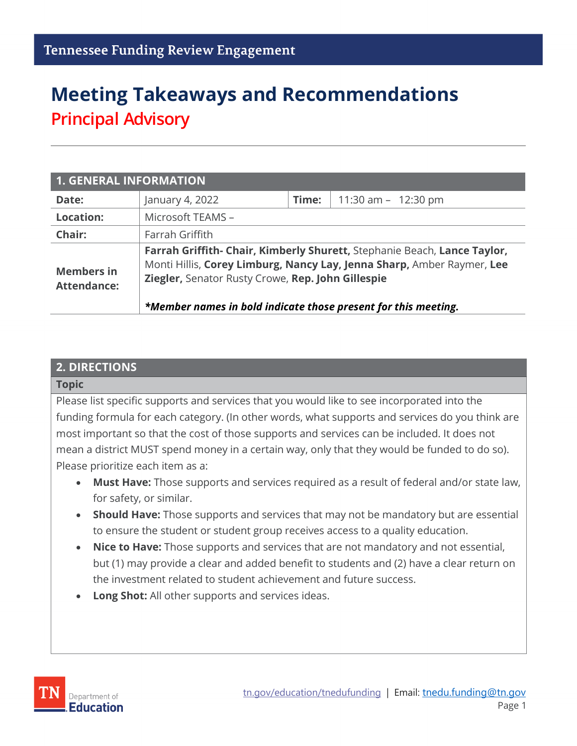# **Meeting Takeaways and Recommendations Principal Advisory**

| <b>1. GENERAL INFORMATION</b>           |                                                                                                                     |       |                                                                                                                                                    |  |
|-----------------------------------------|---------------------------------------------------------------------------------------------------------------------|-------|----------------------------------------------------------------------------------------------------------------------------------------------------|--|
| Date:                                   | January 4, 2022                                                                                                     | Time: | 11:30 am $-$ 12:30 pm                                                                                                                              |  |
| <b>Location:</b>                        | Microsoft TEAMS -                                                                                                   |       |                                                                                                                                                    |  |
| Chair:                                  | Farrah Griffith                                                                                                     |       |                                                                                                                                                    |  |
| <b>Members in</b><br><b>Attendance:</b> | Ziegler, Senator Rusty Crowe, Rep. John Gillespie<br>*Member names in bold indicate those present for this meeting. |       | Farrah Griffith- Chair, Kimberly Shurett, Stephanie Beach, Lance Taylor,<br>Monti Hillis, Corey Limburg, Nancy Lay, Jenna Sharp, Amber Raymer, Lee |  |

#### **2. DIRECTIONS**

#### **Topic**

Please list specific supports and services that you would like to see incorporated into the funding formula for each category. (In other words, what supports and services do you think are most important so that the cost of those supports and services can be included. It does not mean a district MUST spend money in a certain way, only that they would be funded to do so). Please prioritize each item as a:

- **Must Have:** Those supports and services required as a result of federal and/or state law, for safety, or similar.
- **Should Have:** Those supports and services that may not be mandatory but are essential to ensure the student or student group receives access to a quality education.
- **Nice to Have:** Those supports and services that are not mandatory and not essential, but (1) may provide a clear and added benefit to students and (2) have a clear return on the investment related to student achievement and future success.
- **Long Shot:** All other supports and services ideas.

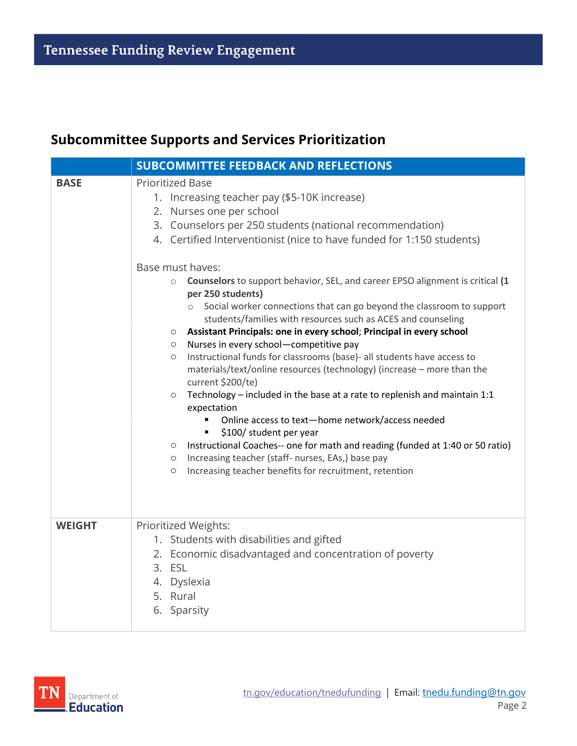#### **Subcommittee Supports and Services Prioritization**

|               | <b>SUBCOMMITTEE FEEDBACK AND REFLECTIONS</b>                                                                                                                                                                                                                                                                                                                                                                                                                                                                                                                                                                                                                                                                                                                                                                                                                                                                                                                                                                                                                                                                                                                                                                                                                                         |
|---------------|--------------------------------------------------------------------------------------------------------------------------------------------------------------------------------------------------------------------------------------------------------------------------------------------------------------------------------------------------------------------------------------------------------------------------------------------------------------------------------------------------------------------------------------------------------------------------------------------------------------------------------------------------------------------------------------------------------------------------------------------------------------------------------------------------------------------------------------------------------------------------------------------------------------------------------------------------------------------------------------------------------------------------------------------------------------------------------------------------------------------------------------------------------------------------------------------------------------------------------------------------------------------------------------|
| <b>BASE</b>   | <b>Prioritized Base</b><br>1. Increasing teacher pay (\$5-10K increase)<br>2. Nurses one per school<br>3. Counselors per 250 students (national recommendation)<br>4. Certified Interventionist (nice to have funded for 1:150 students)<br>Base must haves:<br>Counselors to support behavior, SEL, and career EPSO alignment is critical (1<br>$\circ$<br>per 250 students)<br>Social worker connections that can go beyond the classroom to support<br>$\circ$<br>students/families with resources such as ACES and counseling<br>Assistant Principals: one in every school; Principal in every school<br>$\circ$<br>Nurses in every school-competitive pay<br>$\circ$<br>Instructional funds for classrooms (base)- all students have access to<br>$\circ$<br>materials/text/online resources (technology) (increase - more than the<br>current \$200/te)<br>Technology - included in the base at a rate to replenish and maintain 1:1<br>$\circ$<br>expectation<br>Online access to text-home network/access needed<br>\$100/ student per year<br>Instructional Coaches-- one for math and reading (funded at 1:40 or 50 ratio)<br>$\circ$<br>Increasing teacher (staff- nurses, EAs,) base pay<br>$\circ$<br>Increasing teacher benefits for recruitment, retention<br>$\circ$ |
| <b>WEIGHT</b> | Prioritized Weights:<br>1. Students with disabilities and gifted<br>2. Economic disadvantaged and concentration of poverty<br>3. ESL<br>4. Dyslexia<br>5. Rural<br>6. Sparsity                                                                                                                                                                                                                                                                                                                                                                                                                                                                                                                                                                                                                                                                                                                                                                                                                                                                                                                                                                                                                                                                                                       |